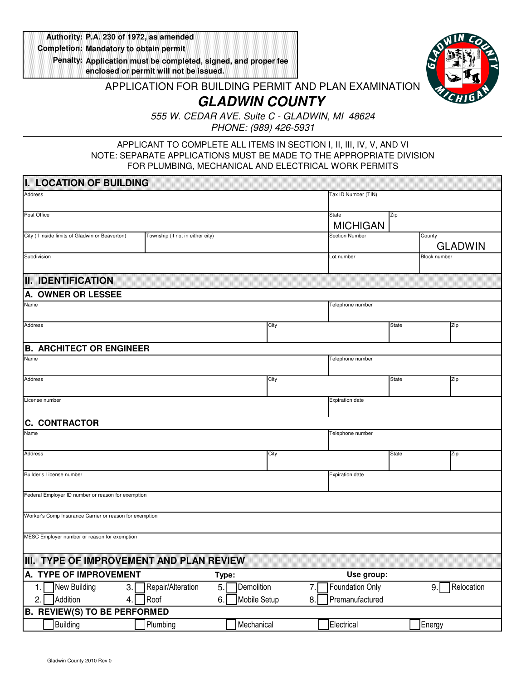**P.A. 230 of 1972, as amended Authority: Mandatory to obtain permit Completion:**

**Application must be completed, signed, and proper fee Penalty: enclosed or permit will not be issued.**



## APPLICATION FOR BUILDING PERMIT AND PLAN EXAMINATION **GLADWIN COUNTY**

555 W. CEDAR AVE. Suite C - GLADWIN, MI 48624 PHONE: (989) 426-5931

## APPLICANT TO COMPLETE ALL ITEMS IN SECTION I, II, III, IV, V, AND VI NOTE: SEPARATE APPLICATIONS MUST BE MADE TO THE APPROPRIATE DIVISION FOR PLUMBING, MECHANICAL AND ELECTRICAL WORK PERMITS

|             | IT LOCATION OF BUILDING                                 |                                  |       |              |      |                          |              |                     |                |
|-------------|---------------------------------------------------------|----------------------------------|-------|--------------|------|--------------------------|--------------|---------------------|----------------|
| Address     |                                                         |                                  |       |              |      | Tax ID Number (TIN)      |              |                     |                |
| Post Office |                                                         |                                  |       |              |      | State<br><b>MICHIGAN</b> | Zip          |                     |                |
|             | City (if inside limits of Gladwin or Beaverton)         | Township (if not in either city) |       |              |      | <b>Section Number</b>    |              | County              | <b>GLADWIN</b> |
| Subdivision |                                                         |                                  |       |              |      | Lot number               |              | <b>Block number</b> |                |
|             | <b>II. IDENTIFICATION</b>                               |                                  |       |              |      |                          |              |                     |                |
|             | A. OWNER OR LESSEE                                      |                                  |       |              |      |                          |              |                     |                |
| Name        |                                                         |                                  |       |              |      | Telephone number         |              |                     |                |
| Address     |                                                         |                                  |       |              | City |                          | <b>State</b> |                     | Zip            |
|             | <b>B. ARCHITECT OR ENGINEER</b>                         |                                  |       |              |      |                          |              |                     |                |
| Name        |                                                         |                                  |       |              |      | Telephone number         |              |                     |                |
| Address     |                                                         |                                  |       |              | City |                          | State        |                     | Zip            |
|             | License number                                          |                                  |       |              |      | Expiration date          |              |                     |                |
|             | <b>C. CONTRACTOR</b>                                    |                                  |       |              |      |                          |              |                     |                |
| Name        |                                                         |                                  |       |              |      | Telephone number         |              |                     |                |
| Address     |                                                         |                                  |       |              | City |                          | State        |                     | Zip            |
|             | Builder's License number                                |                                  |       |              |      | <b>Expiration date</b>   |              |                     |                |
|             | Federal Employer ID number or reason for exemption      |                                  |       |              |      |                          |              |                     |                |
|             | Worker's Comp Insurance Carrier or reason for exemption |                                  |       |              |      |                          |              |                     |                |
|             | MESC Employer number or reason for exemption            |                                  |       |              |      |                          |              |                     |                |
|             | III. TYPE OF IMPROVEMENT AND PLAN REVIEW                |                                  |       |              |      |                          |              |                     |                |
|             | A. TYPE OF IMPROVEMENT                                  |                                  | Type: |              |      | Use group:               |              |                     |                |
| 1.          | New Building<br>3.                                      | Repair/Alteration                | 5.    | Demolition   | 7.   | Foundation Only          |              | 9.                  | Relocation     |
| 2.          | Addition<br>4.                                          | Roof                             | 6.    | Mobile Setup | 8.   | Premanufactured          |              |                     |                |
|             | <b>B. REVIEW(S) TO BE PERFORMED</b>                     |                                  |       |              |      |                          |              |                     |                |
|             | Building                                                | Plumbing                         |       | Mechanical   |      | Electrical               |              | Energy              |                |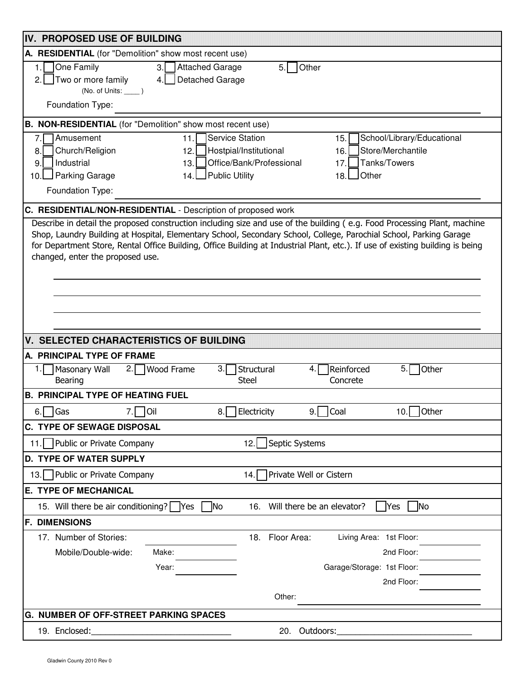| IV PROPOSED USE OF BUILDING                                                                                                                                                               |
|-------------------------------------------------------------------------------------------------------------------------------------------------------------------------------------------|
| A. RESIDENTIAL (for "Demolition" show most recent use)                                                                                                                                    |
| One Family<br>Attached Garage<br>3.<br>5.<br>1.<br>Other                                                                                                                                  |
| Two or more family<br>Detached Garage<br>4.<br>$\mathcal{P}$                                                                                                                              |
| $(No. of Units:$ $\qquad)$                                                                                                                                                                |
| Foundation Type:                                                                                                                                                                          |
| B. NON-RESIDENTIAL (for "Demolition" show most recent use)                                                                                                                                |
| Amusement<br>Service Station<br>School/Library/Educational<br>15.<br>11.<br>7.                                                                                                            |
| Store/Merchantile<br>Church/Religion<br>Hostpial/Institutional<br>8.<br>12.<br>16.<br>Industrial<br>Office/Bank/Professional<br>Tanks/Towers<br>9.<br>13.<br>17.                          |
| Public Utility<br>Parking Garage<br>18. Other<br>14.1<br>10.                                                                                                                              |
| Foundation Type:                                                                                                                                                                          |
|                                                                                                                                                                                           |
| C. RESIDENTIAL/NON-RESIDENTIAL - Description of proposed work<br>Describe in detail the proposed construction including size and use of the building (e.g. Food Processing Plant, machine |
| Shop, Laundry Building at Hospital, Elementary School, Secondary School, College, Parochial School, Parking Garage                                                                        |
| for Department Store, Rental Office Building, Office Building at Industrial Plant, etc.). If use of existing building is being                                                            |
| changed, enter the proposed use.                                                                                                                                                          |
|                                                                                                                                                                                           |
|                                                                                                                                                                                           |
|                                                                                                                                                                                           |
|                                                                                                                                                                                           |
|                                                                                                                                                                                           |
| VI SELECTED CHARACTERISTICS OF BUILDING                                                                                                                                                   |
| A. PRINCIPAL TYPE OF FRAME                                                                                                                                                                |
| Structural<br>Reinforced<br><b>Wood Frame</b><br>Other<br>Masonary Wall<br>2.1<br>3.<br>5.<br><b>Bearing</b><br><b>Steel</b><br>Concrete                                                  |
| <b>B. PRINCIPAL TYPE OF HEATING FUEL</b>                                                                                                                                                  |
| $9.$ Coal<br><b>Oil</b><br>Electricity<br>10. Other<br>  Gas<br>6.<br>8.<br>7.I                                                                                                           |
| <b>C. TYPE OF SEWAGE DISPOSAL</b>                                                                                                                                                         |
| Septic Systems<br>11. Public or Private Company<br>12.                                                                                                                                    |
| <b>D. TYPE OF WATER SUPPLY</b>                                                                                                                                                            |
| Private Well or Cistern<br>13. Public or Private Company<br>14.I                                                                                                                          |
| <b>E. TYPE OF MECHANICAL</b>                                                                                                                                                              |
| 16. Will there be an elevator?<br><b>No</b><br>15. Will there be air conditioning?    Yes<br><b>No</b><br><b>Yes</b>                                                                      |
| <b>F. DIMENSIONS</b>                                                                                                                                                                      |
| 17. Number of Stories:<br>Floor Area:<br>Living Area: 1st Floor:<br>18.                                                                                                                   |
| Mobile/Double-wide:<br>2nd Floor:<br>Make:                                                                                                                                                |
| Garage/Storage: 1st Floor:<br>Year:                                                                                                                                                       |
| 2nd Floor:                                                                                                                                                                                |
| Other:                                                                                                                                                                                    |
| <b>G. NUMBER OF OFF-STREET PARKING SPACES</b>                                                                                                                                             |
| 19. Enclosed:<br>20. Outdoors:                                                                                                                                                            |
|                                                                                                                                                                                           |